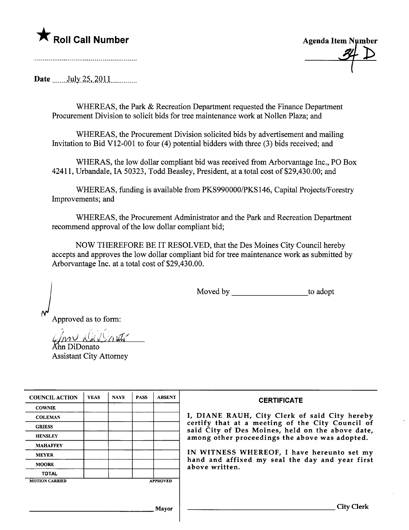## K Roll Call Number

**Agenda Item Number** 

Date \_\_\_\_\_\_ July 25, 2011

WHEREAS, the Park & Recreation Department requested the Finance Department Procurement Division to solicit bids for tree maintenance work at Nollen Plaza; and

WHEREAS, the Procurement Division solicited bids by advertisement and mailing Invitation to Bid V12-001 to four (4) potential bidders with three (3) bids received; and

WHERAS, the low dollar compliant bid was received from Arborvantage Inc., PO Box 42411, Urbandale, IA 50323, Todd Beasley, President, at a total cost of \$29,430.00; and

WHEREAS, funding is available from PKS990000/PKS146, Capital Projects/Forestry Improvements; and

WHEREAS, the Procurement Administrator and the Park and Recreation Department recommend approval of the low dollar compliant bid;

NOW THEREFORE BE IT RESOLVED, that the Des Moines City Council hereby accepts and approves the low dollar compliant bid for tree maintenance work as submitted by Arborvantage Inc. at a total cost of \$29,430.00.

> to adopt

Approved as to form:

ın DiDonato **Assistant City Attorney** 

| <b>COUNCIL ACTION</b> | <b>YEAS</b> | <b>NAYS</b> | <b>PASS</b> | <b>ABSENT</b>   | <b>CERTIFICATE</b>                                                                                   |
|-----------------------|-------------|-------------|-------------|-----------------|------------------------------------------------------------------------------------------------------|
| <b>COWNIE</b>         |             |             |             |                 |                                                                                                      |
| <b>COLEMAN</b>        |             |             |             |                 | I, DIANE RAUH, City Clerk of said City hereby                                                        |
| <b>GRIESS</b>         |             |             |             |                 | certify that at a meeting of the City Council of<br>said City of Des Moines, held on the above date, |
| <b>HENSLEY</b>        |             |             |             |                 | among other proceedings the above was adopted.                                                       |
| <b>MAHAFFEY</b>       |             |             |             |                 |                                                                                                      |
| <b>MEYER</b>          |             |             |             |                 | IN WITNESS WHEREOF, I have hereunto set my                                                           |
| <b>MOORE</b>          |             |             |             |                 | hand and affixed my seal the day and year first<br>above written.                                    |
| <b>TOTAL</b>          |             |             |             |                 |                                                                                                      |
| <b>MOTION CARRIED</b> |             |             |             | <b>APPROVED</b> |                                                                                                      |
|                       |             |             |             |                 |                                                                                                      |
|                       |             |             |             |                 |                                                                                                      |
|                       |             |             |             | Mavor           | City Clerk                                                                                           |